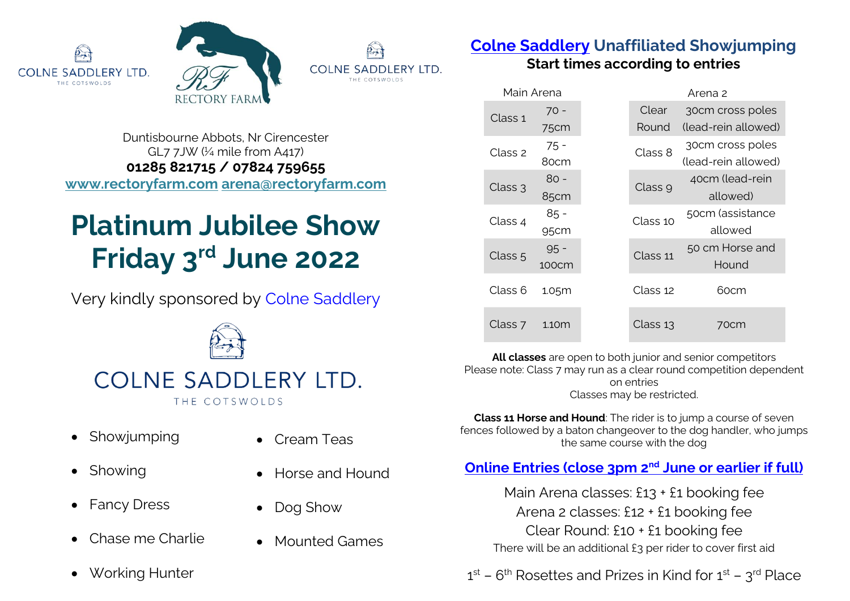





Duntisbourne Abbots, Nr Cirencester GL7 7JW (¼ mile from A417) **01285 821715 / 07824 759655 www.rectoryfarm.com arena@rectoryfarm.com**

# **Platinum Jubilee Show Friday 3rd June 2022**

Very kindly sponsored by [Colne](https://www.bvec.co.uk/) Saddlery



## COLNESADDLERY LTD. THE COTSWOLDS

• Showiumping

• Cream Teas

• Dog Show

• Horse and Hound

• Mounted Games

- Showing
- Fancy Dress
- Chase me Charlie
- Working Hunter

**[Colne Saddlery](https://www.colnesaddlery.co.uk/) Unaffiliated Showjumping**

**Start times according to entries**

| Main Arena         |        |  | Arena 2  |                     |  |
|--------------------|--------|--|----------|---------------------|--|
| Class 1            | 70 -   |  | Clear    | 30cm cross poles    |  |
|                    | 75cm   |  | Round    | (lead-rein allowed) |  |
| Class 2            | 75 -   |  | Class 8  | 30cm cross poles    |  |
|                    | 80cm   |  |          | (lead-rein allowed) |  |
| Class 3            | 80 -   |  | Class 9  | 40cm (lead-rein     |  |
|                    | 85cm   |  |          | allowed)            |  |
| Class 4            | $85 -$ |  | Class 10 | 50cm (assistance    |  |
|                    | 95cm   |  |          | allowed             |  |
| Class <sub>5</sub> | $95 -$ |  | Class 11 | 50 cm Horse and     |  |
|                    | 100cm  |  |          | Hound               |  |
| Class 6            | 1.05m  |  | Class 12 | 60cm                |  |
|                    |        |  |          |                     |  |
| Class 7            | 1.10m  |  | Class 13 | 70cm                |  |
|                    |        |  |          |                     |  |

**All classes** are open to both junior and senior competitors Please note: Class 7 may run as a clear round competition dependent on entries Classes may be restricted.

**Class 11 Horse and Hound**: The rider is to jump a course of seven fences followed by a baton changeover to the dog handler, who jumps the same course with the dog

## **[Online Entries](https://www.rectoryfarm.com/show-jumping/unaffiliated-show-jumping-schedule/) (close 3pm 2nd June or earlier if full)**

Main Arena classes: £13 + £1 booking fee Arena 2 classes: £12 + £1 booking fee Clear Round: £10 + £1 booking fee There will be an additional £3 per rider to cover first aid

 $1^{\rm st}$  –  $6^{\rm th}$  Rosettes and Prizes in Kind for  $1^{\rm st}$  –  $3^{\rm rd}$  Place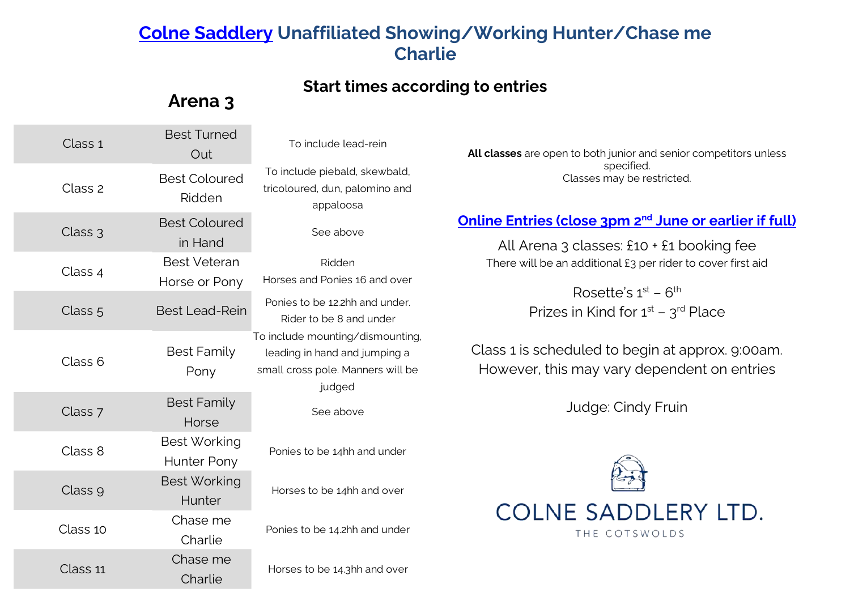## **[Colne Saddlery](https://www.colnesaddlery.co.uk/) Unaffiliated Showing/Working Hunter/Chase me Charlie**

### **Start times according to entries**

## **Arena 3**

| Class 1            | <b>Best Turned</b><br>Out            | To include lead-rein                                                                                             |  |
|--------------------|--------------------------------------|------------------------------------------------------------------------------------------------------------------|--|
| Class <sub>2</sub> | <b>Best Coloured</b><br>Ridden       | To include piebald, skewbald,<br>tricoloured, dun, palomino and<br>appaloosa                                     |  |
| Class 3            | <b>Best Coloured</b><br>in Hand      | See above                                                                                                        |  |
| Class 4            | <b>Best Veteran</b><br>Horse or Pony | Ridden<br>Horses and Ponies 16 and over                                                                          |  |
| Class 5            | <b>Best Lead-Rein</b>                | Ponies to be 12.2hh and under.<br>Rider to be 8 and under                                                        |  |
| Class <sub>6</sub> | <b>Best Family</b><br>Pony           | To include mounting/dismounting,<br>leading in hand and jumping a<br>small cross pole. Manners will be<br>judged |  |
| Class 7            | <b>Best Family</b><br>Horse          | See above                                                                                                        |  |
| Class 8            | <b>Best Working</b><br>Hunter Pony   | Ponies to be 14hh and under                                                                                      |  |
| Class 9            | <b>Best Working</b><br>Hunter        | Horses to be 14hh and over                                                                                       |  |
| Class 10           | Chase me<br>Charlie                  | Ponies to be 14.2hh and under                                                                                    |  |
| Class 11           | Chase me<br>Charlie                  | Horses to be 14.3hh and over                                                                                     |  |

**All classes** are open to both junior and senior competitors unless specified. Classes may be restricted.

### **[Online Entries](https://www.rectoryfarm.com/show-jumping/unaffiliated-show-jumping-schedule/) (close 3pm 2nd June or earlier if full)**

All Arena 3 classes: £10 + £1 booking fee There will be an additional £3 per rider to cover first aid

> Rosette's  $1^{\text{st}}$  –  $6^{\text{th}}$ Prizes in Kind for  $1<sup>st</sup>$  –  $3<sup>rd</sup>$  Place

Class 1 is scheduled to begin at approx. 9:00am. However, this may vary dependent on entries

Judge: Cindy Fruin

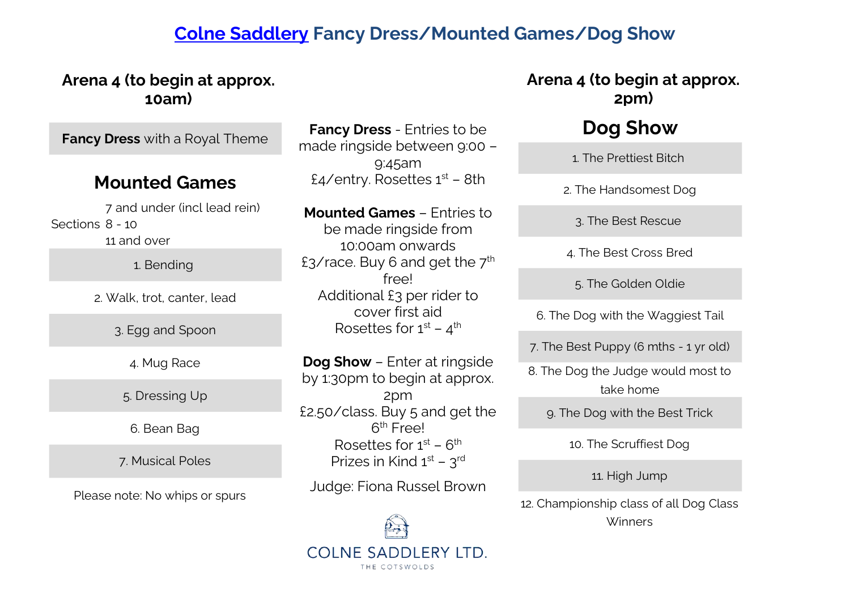## **[Colne Saddlery](https://www.colnesaddlery.co.uk/) Fancy Dress/Mounted Games/Dog Show**

## 1. Bending 2. Walk, trot, canter, lead **Fancy Dress** with a Royal Theme **Mounted Games** Sections 8 - 10 7 and under (incl lead rein) 11 and over 3. Egg and Spoon 4. Mug Race 5. Dressing Up 6. Bean Bag 7. Musical Poles **Arena 4 (to begin at approx. 10am)** Judge: Fiona Russel Brown Please note: No whips or spurs

**Fancy Dress** - Entries to be made ringside between 9:00 – 9:45am £4/entry. Rosettes  $1<sup>st</sup>$  – 8th

**Mounted Games** – Entries to be made ringside from 10:00am onwards £3/race. Buy 6 and get the  $7<sup>th</sup>$ free! Additional £3 per rider to cover first aid Rosettes for  $1^\text{st}$  –  $4^\text{th}$ 

**Dog Show** – Enter at ringside by 1:30pm to begin at approx. 2pm £2.50/class. Buy 5 and get the 6<sup>th</sup> Free! Rosettes for  $1<sup>st</sup> - 6<sup>th</sup>$ Prizes in Kind  $1<sup>st</sup> - 3<sup>rd</sup>$ 



## **Arena 4 (to begin at approx. 2pm)**

## **Dog Show**

1. The Prettiest Bitch

2. The Handsomest Dog

3. The Best Rescue

4. The Best Cross Bred

5. The Golden Oldie

6. The Dog with the Waggiest Tail

7. The Best Puppy (6 mths - 1 yr old)

8. The Dog the Judge would most to take home

9. The Dog with the Best Trick

10. The Scruffiest Dog

11. High Jump

12. Championship class of all Dog Class Winners